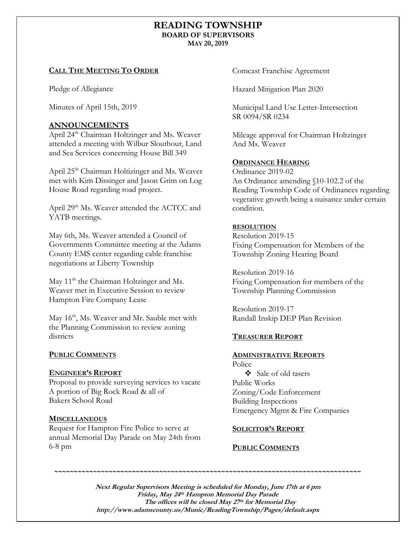# **READING TOWNSHIP BOARD OF SUPERVISORS MAY 20, 2019**

#### **CALL THE MEETING TO ORDER**

Pledge of Allegiance

Minutes of April 15th, 2019

# **ANNOUNCEMENTS**

April 24<sup>th</sup> Chairman Holtzinger and Ms. Weaver attended a meeting with Wilbur Slouthour, Land and Sea Services concerning House Bill 349

April 25<sup>th</sup> Chairman Holtizinger and Ms. Weaver met with Kim Dissinger and Jason Grim on Log House Road regarding road project.

April 29<sup>th</sup> Ms. Weaver attended the ACTCC and YATB meetings.

May 6th, Ms. Weaver attended a Council of Governments Committee meeting at the Adams County EMS center regarding cable franchise negotiations at Liberty Township

May 11<sup>th</sup> the Chairman Holtzinger and Ms. Weaver met in Executive Session to review Hampton Fire Company Lease

May 16<sup>th</sup>, Ms. Weaver and Mr. Sauble met with the Planning Commission to review zoning districts

## **PUBLIC COMMENTS**

#### **ENGINEER'S REPORT**

Proposal to provide surveying services to vacate A portion of Big Rock Road & all of Bakers School Road

## **MISCELLANEOUS**

Request for Hampton Fire Police to serve at annual Memorial Day Parade on May 24th from 6-8 pm

Comcast Franchise Agreement

Hazard Mitigation Plan 2020

Municipal Land Use Letter-Intersection SR 0094/SR 0234

Mileage approval for Chairman Holtzinger And Ms. Weaver

## **ORDINANCE HEARING**

Ordinance 2019-02 An Ordinance amending §10-102.2 of the Reading Township Code of Ordinances regarding vegetative growth being a nuisance under certain condition.

#### **RESOLUTION**

Resolution 2019-15 Fixing Compensation for Members of the Township Zoning Hearing Board

Resolution 2019-16 Fixing Compensation for members of the Township Planning Commission

Resolution 2019-17 Randall Inskip DEP Plan Revision

## **TREASURER REPORT**

## **ADMINISTRATIVE REPORTS**

Police ❖ Sale of old tasers Public Works Zoning/Code Enforcement Building Inspections Emergency Mgmt & Fire Companies

## **SOLICITOR'S REPORT**

## **PUBLIC COMMENTS**

**Next Regular Supervisors Meeting is scheduled for Monday, June 17th at 6 pm Friday, May 24 th Hampton Memorial Day Parade The offices will be closed May 27 th for Memorial Day http://www.adamscounty.us/Munic/ReadingTownship/Pages/default.aspx**

*~~~~~~~~~~~~~~~~~~~~~~~~~~~~~~~~~~~~~~~~~~~~~~~~~~~~~~~~~~~~~~~~~~~~~~~~~~~~~~~*